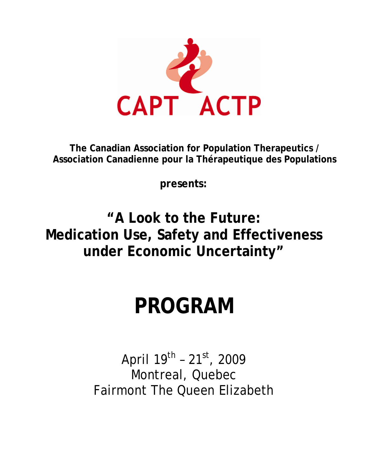

**The Canadian Association for Population Therapeutics / Association Canadienne pour la Thérapeutique des Populations** 

**presents:**

**"A Look to the Future: Medication Use, Safety and Effectiveness under Economic Uncertainty"** 

# **PROGRAM**

April  $19^{th}$  -  $21^{st}$ , 2009 Montreal, Quebec Fairmont The Queen Elizabeth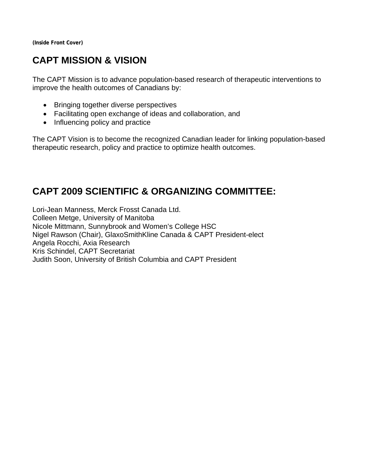**(Inside Front Cover)** 

# **CAPT MISSION & VISION**

The CAPT Mission is to advance population-based research of therapeutic interventions to improve the health outcomes of Canadians by:

- Bringing together diverse perspectives
- Facilitating open exchange of ideas and collaboration, and
- Influencing policy and practice

The CAPT Vision is to become the recognized Canadian leader for linking population-based therapeutic research, policy and practice to optimize health outcomes.

# **CAPT 2009 SCIENTIFIC & ORGANIZING COMMITTEE:**

Lori-Jean Manness, Merck Frosst Canada Ltd. Colleen Metge, University of Manitoba Nicole Mittmann, Sunnybrook and Women's College HSC Nigel Rawson (Chair), GlaxoSmithKline Canada & CAPT President-elect Angela Rocchi, Axia Research Kris Schindel, CAPT Secretariat Judith Soon, University of British Columbia and CAPT President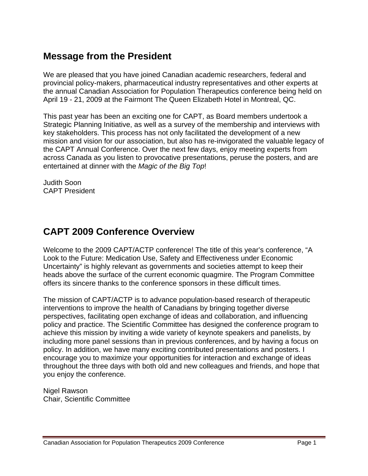# **Message from the President**

We are pleased that you have joined Canadian academic researchers, federal and provincial policy-makers, pharmaceutical industry representatives and other experts at the annual Canadian Association for Population Therapeutics conference being held on April 19 - 21, 2009 at the Fairmont The Queen Elizabeth Hotel in Montreal, QC.

This past year has been an exciting one for CAPT, as Board members undertook a Strategic Planning Initiative, as well as a survey of the membership and interviews with key stakeholders. This process has not only facilitated the development of a new mission and vision for our association, but also has re-invigorated the valuable legacy of the CAPT Annual Conference. Over the next few days, enjoy meeting experts from across Canada as you listen to provocative presentations, peruse the posters, and are entertained at dinner with the *Magic of the Big Top*!

Judith Soon CAPT President

# **CAPT 2009 Conference Overview**

Welcome to the 2009 CAPT/ACTP conference! The title of this year's conference, "A Look to the Future: Medication Use, Safety and Effectiveness under Economic Uncertainty" is highly relevant as governments and societies attempt to keep their heads above the surface of the current economic quagmire. The Program Committee offers its sincere thanks to the conference sponsors in these difficult times.

The mission of CAPT/ACTP is to advance population-based research of therapeutic interventions to improve the health of Canadians by bringing together diverse perspectives, facilitating open exchange of ideas and collaboration, and influencing policy and practice. The Scientific Committee has designed the conference program to achieve this mission by inviting a wide variety of keynote speakers and panelists, by including more panel sessions than in previous conferences, and by having a focus on policy. In addition, we have many exciting contributed presentations and posters. I encourage you to maximize your opportunities for interaction and exchange of ideas throughout the three days with both old and new colleagues and friends, and hope that you enjoy the conference.

Nigel Rawson Chair, Scientific Committee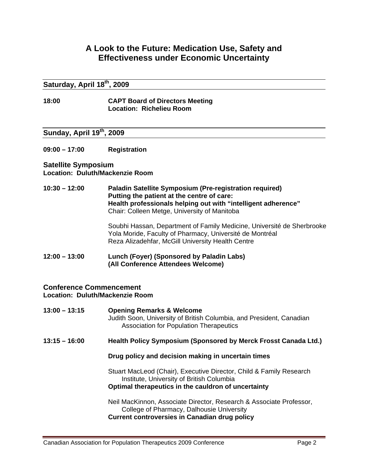# **A Look to the Future: Medication Use, Safety and Effectiveness under Economic Uncertainty**

## **Saturday, April 18th, 2009**

#### **18:00 CAPT Board of Directors Meeting Location: Richelieu Room**

# **Sunday, April 19th, 2009**

**09:00 – 17:00 Registration** 

#### **Satellite Symposium Location: Duluth/Mackenzie Room**

#### **10:30 – 12:00 Paladin Satellite Symposium (Pre-registration required) Putting the patient at the centre of care: Health professionals helping out with "intelligent adherence"**  Chair: Colleen Metge, University of Manitoba

Soubhi Hassan, Department of Family Medicine, Université de Sherbrooke Yola Moride, Faculty of Pharmacy, Université de Montréal Reza Alizadehfar, McGill University Health Centre

#### **12:00 – 13:00 Lunch (Foyer) (Sponsored by Paladin Labs) (All Conference Attendees Welcome)**

#### **Conference Commencement Location: Duluth/Mackenzie Room**

| $13:00 - 13:15$ | <b>Opening Remarks &amp; Welcome</b><br>Judith Soon, University of British Columbia, and President, Canadian<br><b>Association for Population Therapeutics</b>           |
|-----------------|--------------------------------------------------------------------------------------------------------------------------------------------------------------------------|
| $13:15 - 16:00$ | Health Policy Symposium (Sponsored by Merck Frosst Canada Ltd.)                                                                                                          |
|                 | Drug policy and decision making in uncertain times                                                                                                                       |
|                 | Stuart MacLeod (Chair), Executive Director, Child & Family Research<br>Institute, University of British Columbia<br>Optimal therapeutics in the cauldron of uncertainty  |
|                 | Neil MacKinnon, Associate Director, Research & Associate Professor,<br>College of Pharmacy, Dalhousie University<br><b>Current controversies in Canadian drug policy</b> |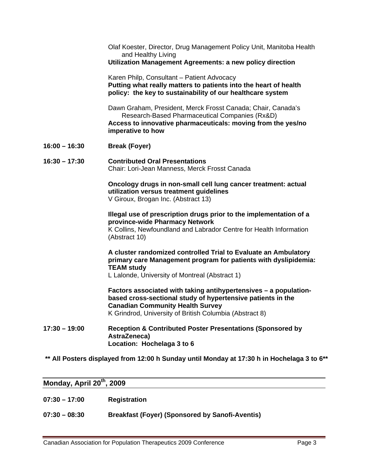Olaf Koester, Director, Drug Management Policy Unit, Manitoba Health and Healthy Living

#### **Utilization Management Agreements: a new policy direction**

Karen Philp, Consultant – Patient Advocacy **Putting what really matters to patients into the heart of health policy: the key to sustainability of our healthcare system**

Dawn Graham, President, Merck Frosst Canada; Chair, Canada's Research-Based Pharmaceutical Companies (Rx&D) **Access to innovative pharmaceuticals: moving from the yes/no imperative to how** 

**16:00 – 16:30 Break (Foyer)** 

#### **16:30 – 17:30 Contributed Oral Presentations**  Chair: Lori-Jean Manness, Merck Frosst Canada

**Oncology drugs in non-small cell lung cancer treatment: actual utilization versus treatment guidelines**  V Giroux, Brogan Inc. (Abstract 13)

#### **Illegal use of prescription drugs prior to the implementation of a province-wide Pharmacy Network**

K Collins, Newfoundland and Labrador Centre for Health Information (Abstract 10)

## **A cluster randomized controlled Trial to Evaluate an Ambulatory primary care Management program for patients with dyslipidemia: TEAM study**

L Lalonde, University of Montreal (Abstract 1)

**Factors associated with taking antihypertensives – a populationbased cross-sectional study of hypertensive patients in the Canadian Community Health Survey**  K Grindrod, University of British Columbia (Abstract 8)

**17:30 – 19:00 Reception & Contributed Poster Presentations (Sponsored by AstraZeneca) Location: Hochelaga 3 to 6** 

#### **\*\* All Posters displayed from 12:00 h Sunday until Monday at 17:30 h in Hochelaga 3 to 6\*\***

#### **Monday, April 20th, 2009**

- **07:30 17:00 Registration**
- **07:30 08:30 Breakfast (Foyer) (Sponsored by Sanofi-Aventis)**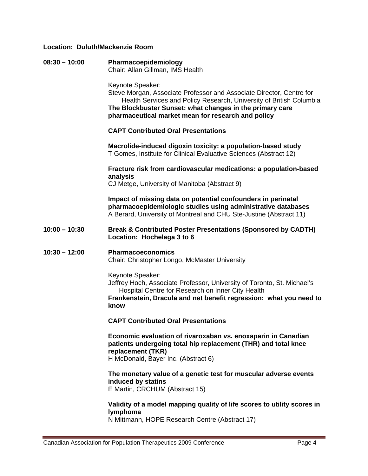#### **Location: Duluth/Mackenzie Room**

**08:30 – 10:00 Pharmacoepidemiology**  Chair: Allan Gillman, IMS Health

Keynote Speaker:

Steve Morgan, Associate Professor and Associate Director, Centre for Health Services and Policy Research, University of British Columbia **The Blockbuster Sunset: what changes in the primary care pharmaceutical market mean for research and policy** 

#### **CAPT Contributed Oral Presentations**

**Macrolide-induced digoxin toxicity: a population-based study**  T Gomes, Institute for Clinical Evaluative Sciences (Abstract 12)

**Fracture risk from cardiovascular medications: a population-based analysis** 

CJ Metge, University of Manitoba (Abstract 9)

**Impact of missing data on potential confounders in perinatal pharmacoepidemiologic studies using administrative databases**  A Berard, University of Montreal and CHU Ste-Justine (Abstract 11)

#### **10:00 – 10:30 Break & Contributed Poster Presentations (Sponsored by CADTH) Location: Hochelaga 3 to 6**

#### **10:30 – 12:00 Pharmacoeconomics**  Chair: Christopher Longo, McMaster University

Keynote Speaker:

Jeffrey Hoch, Associate Professor, University of Toronto, St. Michael's Hospital Centre for Research on Inner City Health

**Frankenstein, Dracula and net benefit regression: what you need to know** 

 **CAPT Contributed Oral Presentations** 

**Economic evaluation of rivaroxaban vs. enoxaparin in Canadian patients undergoing total hip replacement (THR) and total knee replacement (TKR)**  H McDonald, Bayer Inc. (Abstract 6)

#### **The monetary value of a genetic test for muscular adverse events induced by statins**  E Martin, CRCHUM (Abstract 15)

**Validity of a model mapping quality of life scores to utility scores in lymphoma** 

N Mittmann, HOPE Research Centre (Abstract 17)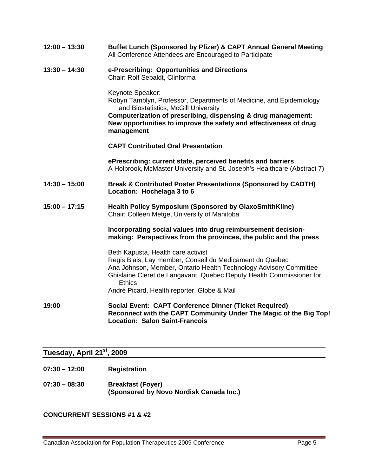| $12:00 - 13:30$ | Buffet Lunch (Sponsored by Pfizer) & CAPT Annual General Meeting<br>All Conference Attendees are Encouraged to Participate                                                                                                                                                                                  |
|-----------------|-------------------------------------------------------------------------------------------------------------------------------------------------------------------------------------------------------------------------------------------------------------------------------------------------------------|
| $13:30 - 14:30$ | e-Prescribing: Opportunities and Directions<br>Chair: Rolf Sebaldt, Clinforma                                                                                                                                                                                                                               |
|                 | Keynote Speaker:<br>Robyn Tamblyn, Professor, Departments of Medicine, and Epidemiology<br>and Biostatistics, McGill University<br>Computerization of prescribing, dispensing & drug management:<br>New opportunities to improve the safety and effectiveness of drug<br>management                         |
|                 | <b>CAPT Contributed Oral Presentation</b>                                                                                                                                                                                                                                                                   |
|                 | ePrescribing: current state, perceived benefits and barriers<br>A Holbrook, McMaster University and St. Joseph's Healthcare (Abstract 7)                                                                                                                                                                    |
| $14:30 - 15:00$ | <b>Break &amp; Contributed Poster Presentations (Sponsored by CADTH)</b><br>Location: Hochelaga 3 to 6                                                                                                                                                                                                      |
| $15:00 - 17:15$ | <b>Health Policy Symposium (Sponsored by GlaxoSmithKline)</b><br>Chair: Colleen Metge, University of Manitoba                                                                                                                                                                                               |
|                 | Incorporating social values into drug reimbursement decision-<br>making: Perspectives from the provinces, the public and the press                                                                                                                                                                          |
|                 | Beth Kapusta, Health care activist<br>Regis Blais, Lay member, Conseil du Medicament du Quebec<br>Ana Johnson, Member, Ontario Health Technology Advisory Committee<br>Ghislaine Cleret de Langavant, Quebec Deputy Health Commissioner for<br><b>Ethics</b><br>André Picard, Health reporter, Globe & Mail |
|                 |                                                                                                                                                                                                                                                                                                             |
| 19:00           | <b>Social Event: CAPT Conference Dinner (Ticket Required)</b><br>Reconnect with the CAPT Community Under The Magic of the Big Top!<br><b>Location: Salon Saint-Francois</b>                                                                                                                                 |

# **Tuesday, April 21st, 2009**

- **07:30 12:00 Registration**
- **07:30 08:30 Breakfast (Foyer) (Sponsored by Novo Nordisk Canada Inc.)**

**CONCURRENT SESSIONS #1 & #2**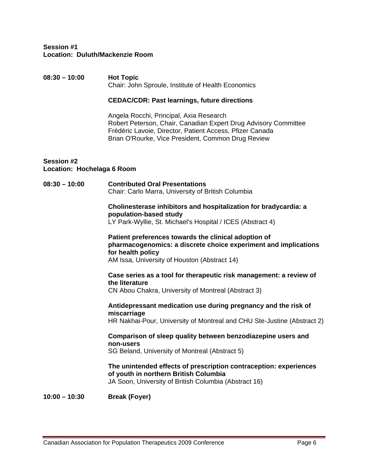#### **Session #1 Location: Duluth/Mackenzie Room**

#### **08:30 – 10:00 Hot Topic**  Chair: John Sproule, Institute of Health Economics

#### **CEDAC/CDR: Past learnings, future directions**

Angela Rocchi, Principal, Axia Research Robert Peterson, Chair, Canadian Expert Drug Advisory Committee Frédéric Lavoie, Director, Patient Access, Pfizer Canada Brian O'Rourke, Vice President, Common Drug Review

#### **Session #2 Location: Hochelaga 6 Room**

#### **08:30 – 10:00 Contributed Oral Presentations**  Chair: Carlo Marra, University of British Columbia

## **Cholinesterase inhibitors and hospitalization for bradycardia: a population-based study**

LY Park-Wyllie, St. Michael's Hospital / ICES (Abstract 4)

# **Patient preferences towards the clinical adoption of pharmacogenomics: a discrete choice experiment and implications for health policy**

AM Issa, University of Houston (Abstract 14)

## **Case series as a tool for therapeutic risk management: a review of the literature**

CN Abou Chakra, University of Montreal (Abstract 3)

#### **Antidepressant medication use during pregnancy and the risk of miscarriage**

HR Nakhai-Pour, University of Montreal and CHU Ste-Justine (Abstract 2)

# **Comparison of sleep quality between benzodiazepine users and non-users**

SG Beland, University of Montreal (Abstract 5)

#### **The unintended effects of prescription contraception: experiences of youth in northern British Columbia**  JA Soon, University of British Columbia (Abstract 16)

**10:00 – 10:30 Break (Foyer)**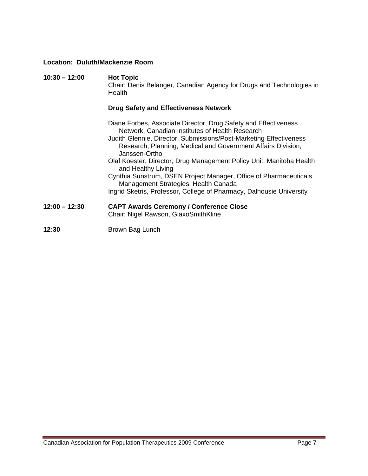## **Location: Duluth/Mackenzie Room**

| $10:30 - 12:00$ | <b>Hot Topic</b><br>Chair: Denis Belanger, Canadian Agency for Drugs and Technologies in<br>Health                                                                                                                                                                        |
|-----------------|---------------------------------------------------------------------------------------------------------------------------------------------------------------------------------------------------------------------------------------------------------------------------|
|                 | <b>Drug Safety and Effectiveness Network</b>                                                                                                                                                                                                                              |
|                 | Diane Forbes, Associate Director, Drug Safety and Effectiveness<br>Network, Canadian Institutes of Health Research<br>Judith Glennie, Director, Submissions/Post-Marketing Effectiveness<br>Research, Planning, Medical and Government Affairs Division,<br>Janssen-Ortho |
|                 | Olaf Koester, Director, Drug Management Policy Unit, Manitoba Health<br>and Healthy Living                                                                                                                                                                                |
|                 | Cynthia Sunstrum, DSEN Project Manager, Office of Pharmaceuticals<br>Management Strategies, Health Canada                                                                                                                                                                 |
|                 | Ingrid Sketris, Professor, College of Pharmacy, Dalhousie University                                                                                                                                                                                                      |
| $12:00 - 12:30$ | <b>CAPT Awards Ceremony / Conference Close</b><br>Chair: Nigel Rawson, GlaxoSmithKline                                                                                                                                                                                    |
| 12:30           | Brown Bag Lunch                                                                                                                                                                                                                                                           |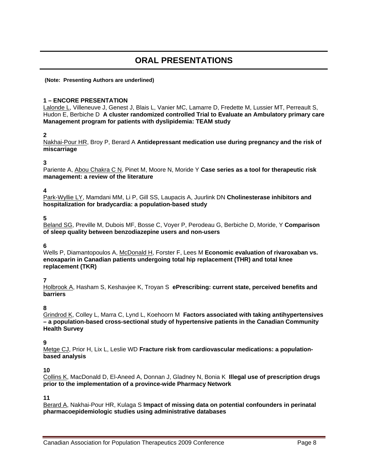# **ORAL PRESENTATIONS**

#### **(Note: Presenting Authors are underlined)**

#### **1 – ENCORE PRESENTATION**

Lalonde L, Villeneuve J, Genest J, Blais L, Vanier MC, Lamarre D, Fredette M, Lussier MT, Perreault S, Hudon E, Berbiche D **A cluster randomized controlled Trial to Evaluate an Ambulatory primary care Management program for patients with dyslipidemia: TEAM study** 

#### **2**

Nakhai-Pour HR, Broy P, Berard A **Antidepressant medication use during pregnancy and the risk of miscarriage** 

#### **3**

Pariente A, Abou Chakra C N, Pinet M, Moore N, Moride Y **Case series as a tool for therapeutic risk management: a review of the literature** 

#### **4**

Park-Wyllie LY, Mamdani MM, Li P, Gill SS, Laupacis A, Juurlink DN **Cholinesterase inhibitors and hospitalization for bradycardia: a population-based study** 

#### **5**

Beland SG, Preville M, Dubois MF, Bosse C, Voyer P, Perodeau G, Berbiche D, Moride, Y **Comparison of sleep quality between benzodiazepine users and non-users** 

#### **6**

Wells P, Diamantopoulos A, McDonald H, Forster F, Lees M **Economic evaluation of rivaroxaban vs. enoxaparin in Canadian patients undergoing total hip replacement (THR) and total knee replacement (TKR)** 

#### **7**

Holbrook A, Hasham S, Keshavjee K, Troyan S **ePrescribing: current state, perceived benefits and barriers** 

#### **8**

Grindrod K, Colley L, Marra C, Lynd L, Koehoorn M **Factors associated with taking antihypertensives – a population-based cross-sectional study of hypertensive patients in the Canadian Community Health Survey** 

#### **9**

Metge CJ, Prior H, Lix L, Leslie WD **Fracture risk from cardiovascular medications: a populationbased analysis** 

#### **10**

Collins K, MacDonald D, El-Aneed A, Donnan J, Gladney N, Bonia K **Illegal use of prescription drugs prior to the implementation of a province-wide Pharmacy Network** 

**11** 

Berard A, Nakhai-Pour HR, Kulaga S **Impact of missing data on potential confounders in perinatal pharmacoepidemiologic studies using administrative databases**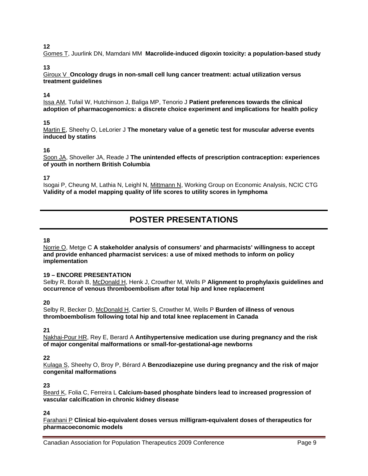Gomes T, Juurlink DN, Mamdani MM **Macrolide-induced digoxin toxicity: a population-based study** 

#### **13**

Giroux V **Oncology drugs in non-small cell lung cancer treatment: actual utilization versus treatment guidelines** 

#### **14**

Issa AM, Tufail W, Hutchinson J, Baliga MP, Tenorio J **Patient preferences towards the clinical adoption of pharmacogenomics: a discrete choice experiment and implications for health policy** 

#### **15**

Martin E, Sheehy O, LeLorier J **The monetary value of a genetic test for muscular adverse events induced by statins** 

#### **16**

Soon JA, Shoveller JA, Reade J **The unintended effects of prescription contraception: experiences of youth in northern British Columbia** 

**17** 

Isogai P, Cheung M, Lathia N, Leighl N, Mittmann N, Working Group on Economic Analysis, NCIC CTG **Validity of a model mapping quality of life scores to utility scores in lymphoma** 

# **POSTER PRESENTATIONS**

#### **18**

Norrie O, Metge C **A stakeholder analysis of consumers' and pharmacists' willingness to accept and provide enhanced pharmacist services: a use of mixed methods to inform on policy implementation** 

#### **19 – ENCORE PRESENTATION**

Selby R, Borah B, McDonald H, Henk J, Crowther M, Wells P **Alignment to prophylaxis guidelines and occurrence of venous thromboembolism after total hip and knee replacement** 

#### **20**

Selby R, Becker D, McDonald H, Cartier S, Crowther M, Wells P **Burden of illness of venous thromboembolism following total hip and total knee replacement in Canada** 

**21** 

Nakhai-Pour HR, Rey E, Berard A **Antihypertensive medication use during pregnancy and the risk of major congenital malformations or small-for-gestational-age newborns** 

#### **22**

Kulaga S, Sheehy O, Broy P, Bérard A **Benzodiazepine use during pregnancy and the risk of major congenital malformations** 

#### **23**

Beard K, Folia C, Ferreira L **Calcium-based phosphate binders lead to increased progression of vascular calcification in chronic kidney disease** 

#### **24**

Farahani P **Clinical bio-equivalent doses versus milligram-equivalent doses of therapeutics for pharmacoeconomic models**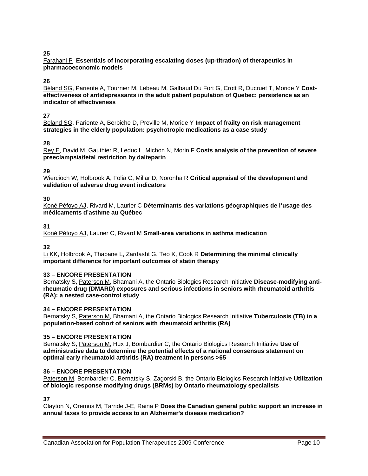#### Farahani P **Essentials of incorporating escalating doses (up-titration) of therapeutics in pharmacoeconomic models**

#### **26**

Béland SG, Pariente A, Tournier M, Lebeau M, Galbaud Du Fort G, Crott R, Ducruet T, Moride Y **Costeffectiveness of antidepressants in the adult patient population of Quebec: persistence as an indicator of effectiveness** 

#### **27**

Beland SG, Pariente A, Berbiche D, Preville M, Moride Y **Impact of frailty on risk management strategies in the elderly population: psychotropic medications as a case study** 

#### **28**

Rey E, David M, Gauthier R, Leduc L, Michon N, Morin F **Costs analysis of the prevention of severe preeclampsia/fetal restriction by dalteparin** 

#### **29**

Wiercioch W, Holbrook A, Folia C, Millar D, Noronha R **Critical appraisal of the development and validation of adverse drug event indicators** 

#### **30**

Koné Péfoyo AJ, Rivard M, Laurier C **Déterminants des variations géographiques de l'usage des médicaments d'asthme au Québec**

#### **31**

Koné Péfoyo AJ, Laurier C, Rivard M **Small-area variations in asthma medication** 

#### **32**

Li KK, Holbrook A, Thabane L, Zardasht G, Teo K, Cook R **Determining the minimal clinically important difference for important outcomes of statin therapy**

#### **33 – ENCORE PRESENTATION**

Bernatsky S, Paterson M, Bhamani A, the Ontario Biologics Research Initiative **Disease-modifying antirheumatic drug (DMARD) exposures and serious infections in seniors with rheumatoid arthritis (RA): a nested case-control study** 

#### **34 – ENCORE PRESENTATION**

Bernatsky S, Paterson M, Bhamani A, the Ontario Biologics Research Initiative **Tuberculosis (TB) in a population-based cohort of seniors with rheumatoid arthritis (RA)**

#### **35 – ENCORE PRESENTATION**

Bernatsky S, Paterson M, Hux J, Bombardier C, the Ontario Biologics Research Initiative **Use of administrative data to determine the potential effects of a national consensus statement on optimal early rheumatoid arthritis (RA) treatment in persons >65**

#### **36 – ENCORE PRESENTATION**

Paterson M, Bombardier C, Bernatsky S, Zagorski B, the Ontario Biologics Research Initiative **Utilization of biologic response modifying drugs (BRMs) by Ontario rheumatology specialists**

**37** 

Clayton N, Oremus M, Tarride J-E, Raina P **Does the Canadian general public support an increase in annual taxes to provide access to an Alzheimer's disease medication?**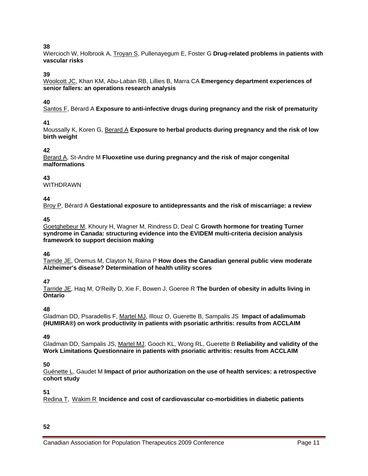Wiercioch W, Holbrook A, Troyan S, Pullenayegum E, Foster G **Drug-related problems in patients with vascular risks**

#### **39**

Woolcott JC, Khan KM, Abu-Laban RB, Lillies B, Marra CA **Emergency department experiences of senior fallers: an operations research analysis**

#### **40**

Santos F, Bérard A **Exposure to anti-infective drugs during pregnancy and the risk of prematurity** 

#### **41**

Moussally K, Koren G, Berard A **Exposure to herbal products during pregnancy and the risk of low birth weight** 

#### **42**

Berard A, St-Andre M **Fluoxetine use during pregnancy and the risk of major congenital malformations** 

#### **43**

WITHDRAWN

#### **44**

Broy P, Bérard A **Gestational exposure to antidepressants and the risk of miscarriage: a review**

#### **45**

Goetghebeur M, Khoury H, Wagner M, Rindress D, Deal C **Growth hormone for treating Turner syndrome in Canada: structuring evidence into the EVIDEM multi-criteria decision analysis framework to support decision making** 

#### **46**

Tarride JE, Oremus M, Clayton N, Raina P **How does the Canadian general public view moderate Alzheimer's disease? Determination of health utility scores** 

#### **47**

Tarride JE, Haq M, O'Reilly D, Xie F, Bowen J, Goeree R **The burden of obesity in adults living in Ontario**

#### **48**

Gladman DD, Psaradellis F, Martel MJ, Illouz O, Guerette B, Sampalis JS **Impact of adalimumab (HUMIRA®) on work productivity in patients with psoriatic arthritis: results from ACCLAIM** 

#### **49**

Gladman DD, Sampalis JS, Martel MJ, Gooch KL, Wong RL, Guerette B **Reliability and validity of the Work Limitations Questionnaire in patients with psoriatic arthritis: results from ACCLAIM**

#### **50**

Guénette L, Gaudet M **Impact of prior authorization on the use of health services: a retrospective cohort study** 

#### **51**

Redina T, Wakim R **Incidence and cost of cardiovascular co-morbidities in diabetic patients** 

#### **52**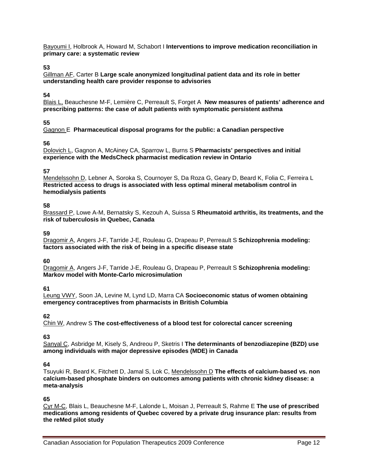Bayoumi I, Holbrook A, Howard M, Schabort I **Interventions to improve medication reconciliation in primary care: a systematic review**

#### **53**

Gillman AF, Carter B **Large scale anonymized longitudinal patient data and its role in better understanding health care provider response to advisories** 

#### **54**

Blais L, Beauchesne M-F, Lemière C, Perreault S, Forget A **New measures of patients' adherence and prescribing patterns: the case of adult patients with symptomatic persistent asthma**

#### **55**

Gagnon E **Pharmaceutical disposal programs for the public: a Canadian perspective**

#### **56**

Dolovich L, Gagnon A, McAiney CA, Sparrow L, Burns S **Pharmacists' perspectives and initial experience with the MedsCheck pharmacist medication review in Ontario** 

#### **57**

Mendelssohn D, Lebner A, Soroka S, Cournoyer S, Da Roza G, Geary D, Beard K, Folia C, Ferreira L **Restricted access to drugs is associated with less optimal mineral metabolism control in hemodialysis patients**

#### **58**

Brassard P, Lowe A-M, Bernatsky S, Kezouh A, Suissa S **Rheumatoid arthritis, its treatments, and the risk of tuberculosis in Quebec, Canada** 

#### **59**

Dragomir A, Angers J-F, Tarride J-E, Rouleau G, Drapeau P, Perreault S **Schizophrenia modeling: factors associated with the risk of being in a specific disease state**

#### **60**

Dragomir A, Angers J-F, Tarride J-E, Rouleau G, Drapeau P, Perreault S **Schizophrenia modeling: Markov model with Monte-Carlo microsimulation** 

#### **61**

Leung VWY, Soon JA, Levine M, Lynd LD, Marra CA **Socioeconomic status of women obtaining emergency contraceptives from pharmacists in British Columbia** 

#### **62**

Chin W, Andrew S **The cost-effectiveness of a blood test for colorectal cancer screening** 

#### **63**

Sanyal C, Asbridge M, Kisely S, Andreou P, Sketris I **The determinants of benzodiazepine (BZD) use among individuals with major depressive episodes (MDE) in Canada**

#### **64**

Tsuyuki R, Beard K, Fitchett D, Jamal S, Lok C, Mendelssohn D **The effects of calcium-based vs. non calcium-based phosphate binders on outcomes among patients with chronic kidney disease: a meta-analysis**

#### **65**

Cyr M-C, Blais L, Beauchesne M-F, Lalonde L, Moisan J, Perreault S, Rahme E **The use of prescribed medications among residents of Quebec covered by a private drug insurance plan: results from the reMed pilot study**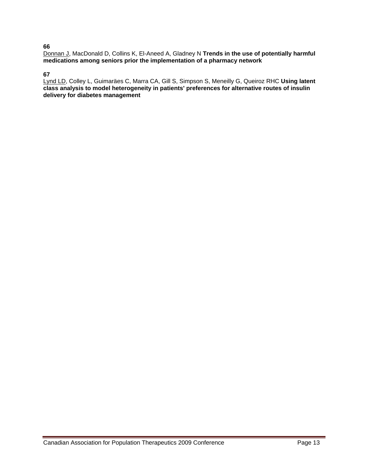Donnan J, MacDonald D, Collins K, El-Aneed A, Gladney N **Trends in the use of potentially harmful medications among seniors prior the implementation of a pharmacy network**

#### **67**

Lynd LD, Colley L, Guimaräes C, Marra CA, Gill S, Simpson S, Meneilly G, Queiroz RHC **Using latent class analysis to model heterogeneity in patients' preferences for alternative routes of insulin delivery for diabetes management**